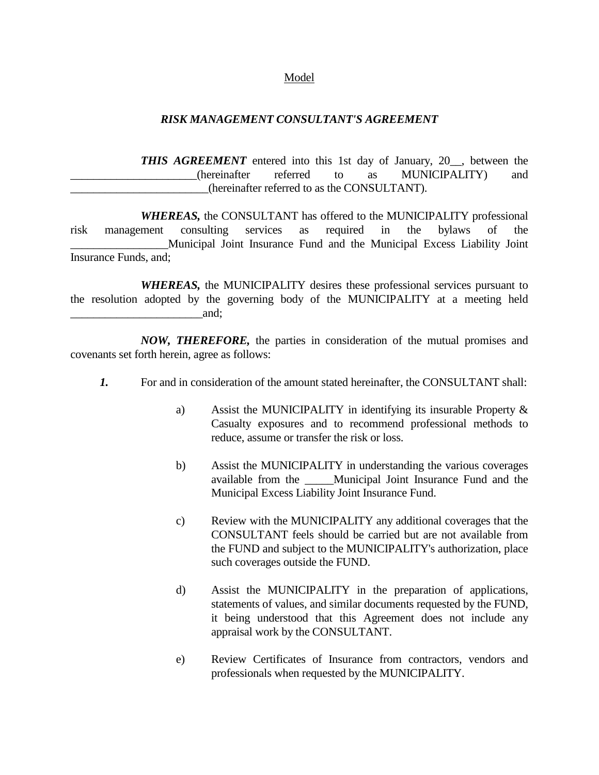## Model

## *RISK MANAGEMENT CONSULTANT'S AGREEMENT*

**THIS AGREEMENT** entered into this 1st day of January, 20<sub>\_\_</sub>, between the (hereinafter referred to as MUNICIPALITY) and \_\_\_\_\_\_\_\_\_\_\_\_\_\_\_\_\_\_\_\_\_\_\_\_(hereinafter referred to as the CONSULTANT).

*WHEREAS,* the CONSULTANT has offered to the MUNICIPALITY professional risk management consulting services as required in the bylaws of the \_\_\_\_\_\_\_\_\_\_\_\_\_\_\_\_\_Municipal Joint Insurance Fund and the Municipal Excess Liability Joint Insurance Funds, and;

*WHEREAS,* the MUNICIPALITY desires these professional services pursuant to the resolution adopted by the governing body of the MUNICIPALITY at a meeting held and:

*NOW, THEREFORE,* the parties in consideration of the mutual promises and covenants set forth herein, agree as follows:

- *1.* For and in consideration of the amount stated hereinafter, the CONSULTANT shall:
	- a) Assist the MUNICIPALITY in identifying its insurable Property & Casualty exposures and to recommend professional methods to reduce, assume or transfer the risk or loss.
	- b) Assist the MUNICIPALITY in understanding the various coverages available from the \_\_\_\_\_Municipal Joint Insurance Fund and the Municipal Excess Liability Joint Insurance Fund.
	- c) Review with the MUNICIPALITY any additional coverages that the CONSULTANT feels should be carried but are not available from the FUND and subject to the MUNICIPALITY's authorization, place such coverages outside the FUND.
	- d) Assist the MUNICIPALITY in the preparation of applications, statements of values, and similar documents requested by the FUND, it being understood that this Agreement does not include any appraisal work by the CONSULTANT.
	- e) Review Certificates of Insurance from contractors, vendors and professionals when requested by the MUNICIPALITY.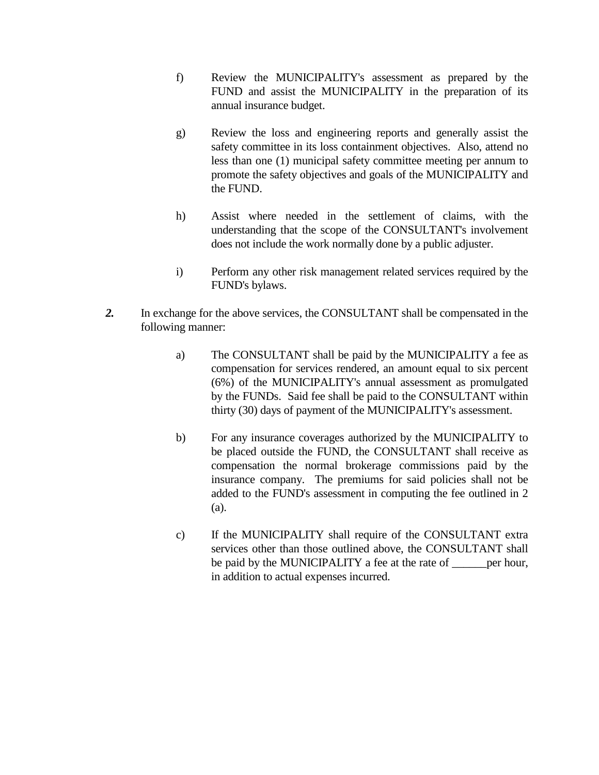- f) Review the MUNICIPALITY's assessment as prepared by the FUND and assist the MUNICIPALITY in the preparation of its annual insurance budget.
- g) Review the loss and engineering reports and generally assist the safety committee in its loss containment objectives. Also, attend no less than one (1) municipal safety committee meeting per annum to promote the safety objectives and goals of the MUNICIPALITY and the FUND.
- h) Assist where needed in the settlement of claims, with the understanding that the scope of the CONSULTANT's involvement does not include the work normally done by a public adjuster.
- i) Perform any other risk management related services required by the FUND's bylaws.
- *2.* In exchange for the above services, the CONSULTANT shall be compensated in the following manner:
	- a) The CONSULTANT shall be paid by the MUNICIPALITY a fee as compensation for services rendered, an amount equal to six percent (6%) of the MUNICIPALITY's annual assessment as promulgated by the FUNDs. Said fee shall be paid to the CONSULTANT within thirty (30) days of payment of the MUNICIPALITY's assessment.
	- b) For any insurance coverages authorized by the MUNICIPALITY to be placed outside the FUND, the CONSULTANT shall receive as compensation the normal brokerage commissions paid by the insurance company. The premiums for said policies shall not be added to the FUND's assessment in computing the fee outlined in 2 (a).
	- c) If the MUNICIPALITY shall require of the CONSULTANT extra services other than those outlined above, the CONSULTANT shall be paid by the MUNICIPALITY a fee at the rate of <u>equilibration</u> per hour, in addition to actual expenses incurred.